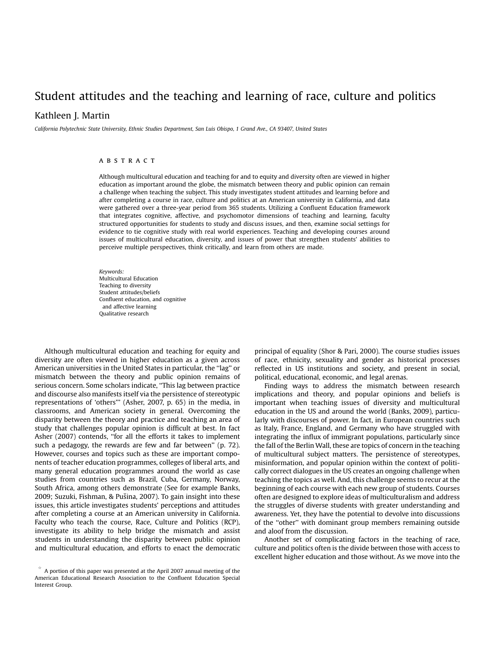# Student attitudes and the teaching and learning of race, culture and politics

# Kathleen J. Martin

California Polytechnic State University, Ethnic Studies Department, San Luis Obispo, 1 Grand Ave., CA 93407, United States

# **ABSTRACT**

Although multicultural education and teaching for and to equity and diversity often are viewed in higher education as important around the globe, the mismatch between theory and public opinion can remain a challenge when teaching the subject. This study investigates student attitudes and learning before and after completing a course in race, culture and politics at an American university in California, and data were gathered over a three-year period from 365 students. Utilizing a Confluent Education framework that integrates cognitive, affective, and psychomotor dimensions of teaching and learning, faculty structured opportunities for students to study and discuss issues, and then, examine social settings for evidence to tie cognitive study with real world experiences. Teaching and developing courses around issues of multicultural education, diversity, and issues of power that strengthen students' abilities to perceive multiple perspectives, think critically, and learn from others are made.

Keywords: Multicultural Education Teaching to diversity Student attitudes/beliefs Confluent education, and cognitive and affective learning Qualitative research

Although multicultural education and teaching for equity and diversity are often viewed in higher education as a given across American universities in the United States in particular, the ''lag'' or mismatch between the theory and public opinion remains of serious concern. Some scholars indicate, ''This lag between practice and discourse also manifests itself via the persistence of stereotypic representations of 'others''' ([Asher, 2007,](#page-9-0) p. 65) in the media, in classrooms, and American society in general. Overcoming the disparity between the theory and practice and teaching an area of study that challenges popular opinion is difficult at best. In fact [Asher \(2007\)](#page-9-0) contends, ''for all the efforts it takes to implement such a pedagogy, the rewards are few and far between'' (p. 72). However, courses and topics such as these are important components of teacher education programmes, colleges of liberal arts, and many general education programmes around the world as case studies from countries such as Brazil, Cuba, Germany, Norway, South Africa, among others demonstrate (See for example [Banks,](#page-9-0)  2009; Suzuki, Fishman, & Pušina, 2007). To gain insight into these issues, this article investigates students' perceptions and attitudes after completing a course at an American university in California. Faculty who teach the course, Race, Culture and Politics (RCP), investigate its ability to help bridge the mismatch and assist students in understanding the disparity between public opinion and multicultural education, and efforts to enact the democratic principal of equality (Shor & Pari, 2000). The course studies issues of race, ethnicity, sexuality and gender as historical processes reflected in US institutions and society, and present in social, political, educational, [economic, and leg](#page-9-0)al arenas.

Finding ways to address the mismatch between research implications and theory, and popular opinions and beliefs is important when teaching issues of diversity and multicultural education in the US and around the world (Banks, 2009), particularly with discourses of power. In fact, in European countries such as Italy, France, England, and Germany who have struggled with integrating the influx of immigrant populat[ions, particul](#page-9-0)arly since the fall of the Berlin Wall, these are topics of concern in the teaching of multicultural subject matters. The persistence of stereotypes, misinformation, and popular opinion within the context of politically correct dialogues in the US creates an ongoing challenge when teaching the topics as well. And, this challenge seems to recur at the beginning of each course with each new group of students. Courses often are designed to explore ideas of multiculturalism and address the struggles of diverse students with greater understanding and awareness. Yet, they have the potential to devolve into discussions of the ''other'' with dominant group members remaining outside and aloof from the discussion.

Another set of complicating factors in the teaching of race, culture and politics often is the divide between those with access to excellent higher education and those without. As we move into the

q A portion of this paper was presented at the April 2007 annual meeting of the American Educational Research Association to the Confluent Education Special Interest Group.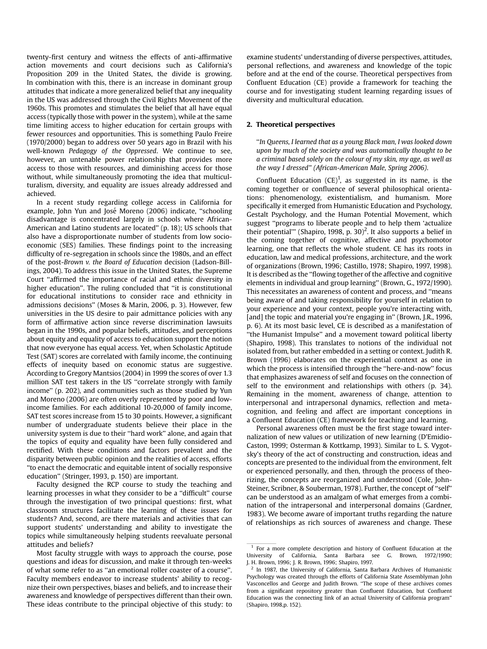twenty-first century and witness the effects of anti-affirmative action movements and court decisions such as California's Proposition 209 in the United States, the divide is growing. In combination with this, there is an increase in dominant group attitudes that indicate a more generalized belief that any inequality in the US was addressed through the Civil Rights Movement of the 1960s. This promotes and stimulates the belief that all have equal access (typically those with power in the system), while at the same time limiting access to higher education for certain groups with fewer resources and opportunities. This is something [Paulo Freire](#page-9-0)  [\(1970/2000\)](#page-9-0) began to address over 50 years ago in Brazil with his well-known Pedagogy of the Oppressed. We continue to see, however, an untenable power relationship that provides more access to those with resources, and diminishing access for those without, while simultaneously promoting the idea that multiculturalism, diversity, and equality are issues already addressed and achieved.

In a recent study regarding college access in California for example, John Yun and José Moreno (2006) indicate, "schooling disadvantage is concentrated largely in schools where African-American and Latino students are located'' (p. 18); US schools that also have a disproportionate number of students from low socioeconomic (SES) families. These findings point to the increasing difficulty of re-segregation in schools since the 1980s, and an effect of the post-Brown v. the Board of Education decision ([Ladson-Bill](#page-9-0)[ings, 2004\)](#page-9-0). To address this issue in the United States, the Supreme Court ''affirmed the importance of racial and ethnic diversity in higher education''. The ruling concluded that ''it is constitutional for educational institutions to consider race and ethnicity in admissions decisions'' [\(Moses & Marin, 2006](#page-9-0), p. 3). However, few universities in the US desire to pair admittance policies with any form of affirmative action since reverse discrimination lawsuits began in the 1990s, and popular beliefs, attitudes, and perceptions about equity and equality of access to education support the notion that now everyone has equal access. Yet, when Scholastic Aptitude Test (SAT) scores are correlated with family income, the continuing effects of inequity based on economic status are suggestive. According to Gregory [Mantsios \(2004\)](#page-9-0) in 1999 the scores of over 1.3 million SAT test takers in the US ''correlate strongly with family income'' (p. 202), and communities such as those studied by [Yun](#page-9-0)  [and Moreno \(2006\)](#page-9-0) are often overly represented by poor and lowincome families. For each additional 10-20,000 of family income, SAT test scores increase from 15 to 30 points. However, a significant number of undergraduate students believe their place in the university system is due to their ''hard work'' alone, and again that the topics of equity and equality have been fully considered and rectified. With these conditions and factors prevalent and the disparity between public opinion and the realities of access, efforts ''to enact the democratic and equitable intent of socially responsive education'' [\(Stringer, 1993](#page-9-0), p. 150) are important.

Faculty designed the RCP course to study the teaching and learning processes in what they consider to be a ''difficult'' course through the investigation of two principal questions: first, what classroom structures facilitate the learning of these issues for students? And, second, are there materials and activities that can support students' understanding and ability to investigate the topics while simultaneously helping students reevaluate personal attitudes and beliefs?

Most faculty struggle with ways to approach the course, pose questions and ideas for discussion, and make it through ten-weeks of what some refer to as ''an emotional roller coaster of a course''. Faculty members endeavor to increase students' ability to recognize their own perspectives, biases and beliefs, and to increase their awareness and knowledge of perspectives different than their own. These ideas contribute to the principal objective of this study: to examine students' understanding of diverse perspectives, attitudes, personal reflections, and awareness and knowledge of the topic before and at the end of the course. Theoretical perspectives from Confluent Education (CE) provide a framework for teaching the course and for investigating student learning regarding issues of diversity and multicultural education.

#### 2. Theoretical perspectives

''In Queens, I learned that as a young Black man, I was looked down upon by much of the society and was automatically thought to be a criminal based solely on the colour of my skin, my age, as well as the way I dressed'' (African-American Male, Spring 2006).

Confluent Education  $(CE)^1$ , as suggested in its name, is the coming together or confluence of several philosophical orientations: phenomenology, existentialism, and humanism. More specifically it emerged from Humanistic Education and Psychology, Gestalt Psychology, and the Human Potential Movement, which suggest ''programs to liberate people and to help them 'actualize their potential'" ([Shapiro, 1998,](#page-9-0) p. 30)<sup>2</sup>. It also supports a belief in the coming together of cognitive, affective and psychomotor learning, one that reflects the whole student. CE has its roots in education, law and medical professions, architecture, and the work of organizations [\(Brown, 1996; Castillo, 1978; Shapiro, 1997, 1998\)](#page-9-0). It is described as the ''flowing together of the affective and cognitive elements in individual and group learning'' ([Brown, G., 1972/1990\)](#page-9-0). This necessitates an awareness of content and process, and ''means being aware of and taking responsibility for yourself in relation to your experience and your context, people you're interacting with, [and] the topic and material you're engaging in" ([Brown, J.R., 1996,](#page-9-0) p. 6). At its most basic level, CE is described as a manifestation of ''the Humanist Impulse'' and a movement toward political liberty ([Shapiro, 1998](#page-9-0)). This translates to notions of the individual not isolated from, but rather embedded in a setting or context. Judith R. Brown (1996) elaborates on the experiential context as one in which the process is intensified through the ''here-and-now'' focus that emphasizes awareness of self and focuses on the connection of self to the environment and relationships with others (p. 34). Remaining in the moment, awareness of change, attention to interpersonal and intrapersonal dynamics, reflection and metacognition, and feeling and affect are important conceptions in a Confluent Education (CE) framework for teaching and learning.

Personal awareness often must be the first stage toward internalization of new values or utilization of new learning [\(D'Emidio-](#page-9-0)[Caston, 1999; Osterman & Kottkamp, 1993\)](#page-9-0). Similar to L. S. Vygotsky's theory of the act of constructing and construction, ideas and concepts are presented to the individual from the environment, felt or experienced personally, and then, through the process of theorizing, the concepts are reorganized and understood ([Cole, John-](#page-9-0)[Steiner, Scribner, & Souberman, 1978\)](#page-9-0). Further, the concept of ''self'' can be understood as an amalgam of what emerges from a combination of the intrapersonal and interpersonal domains ([Gardner,](#page-9-0)  [1983](#page-9-0)). We become aware of important truths regarding the nature of relationships as rich sources of awareness and change. These

 $1$  For a more complete description and history of Confluent Education at the University of California, Santa Barbara see [G. Brown, 1972/1990;](#page-9-0)  [J. H. Brown, 1996; J. R. Brown, 1996; Shapiro, 1997.](#page-9-0)

<sup>2</sup> In 1987, the University of California, Santa Barbara Archives of Humanistic Psychology was created through the efforts of California State Assemblyman John Vasconcellos and George and Judith Brown. ''The scope of these archives comes from a significant repository greater than Confluent Education, but Confluent Education was the connecting link of an actual University of California program'' [\(Shapiro, 1998](#page-9-0),p. 152).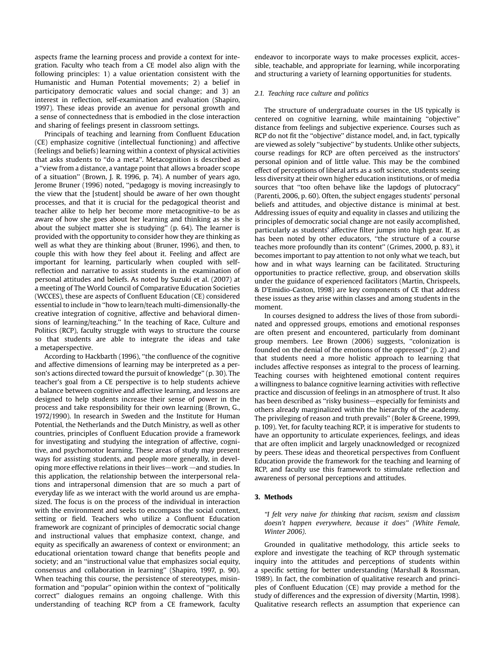aspects frame the learning process and provide a context for integration. Faculty who teach from a CE model also align with the following principles: 1) a value orientation consistent with the Humanistic and Human Potential movements; 2) a belief in participatory democratic values and social change; and 3) an interest in reflection, self-examination and evaluation ([Shapiro,](#page-9-0)  [1997\)](#page-9-0). These ideas provide an avenue for personal growth and a sense of connectedness that is embodied in the close interaction and sharing of feelings present in classroom settings.

Principals of teaching and learning from Confluent Education (CE) emphasize cognitive (intellectual functioning) and affective (feelings and beliefs) learning within a context of physical activities that asks students to ''do a meta''. Metacognition is described as a ''view from a distance, a vantage point that allows a broader scope of a situation'' [\(Brown, J. R. 1996](#page-9-0), p. 74). A number of years ago, [Jerome Bruner \(1996\)](#page-9-0) noted, ''pedagogy is moving increasingly to the view that the [student] should be aware of her own thought processes, and that it is crucial for the pedagogical theorist and teacher alike to help her become more metacognitive–to be as aware of how she goes about her learning and thinking as she is about the subject matter she is studying'' (p. 64). The learner is provided with the opportunity to consider how they are thinking as well as what they are thinking about ([Bruner, 1996](#page-9-0)), and then, to couple this with how they feel about it. Feeling and affect are important for learning, particularly when coupled with selfreflection and narrative to assist students in the examination of personal attitudes and beliefs. As noted by [Suzuki et al. \(2007\)](#page-9-0) at a meeting of The World Council of Comparative Education Societies (WCCES), these are aspects of Confluent Education (CE) considered essential to include in ''how to learn/teach multi-dimensionally-the creative integration of cognitive, affective and behavioral dimensions of learning/teaching.'' In the teaching of Race, Culture and Politics (RCP), faculty struggle with ways to structure the course so that students are able to integrate the ideas and take a metaperspective.

According to [Hackbarth \(1996\),](#page-9-0) ''the confluence of the cognitive and affective dimensions of learning may be interpreted as a person's actions directed toward the pursuit of knowledge'' (p. 30). The teacher's goal from a CE perspective is to help students achieve a balance between cognitive and affective learning, and lessons are designed to help students increase their sense of power in the process and take responsibility for their own learning [\(Brown, G.,](#page-9-0)  [1972/1990\)](#page-9-0). In research in Sweden and the Institute for Human Potential, the Netherlands and the Dutch Ministry, as well as other countries, principles of Confluent Education provide a framework for investigating and studying the integration of affective, cognitive, and psychomotor learning. These areas of study may present ways for assisting students, and people more generally, in developing more effective relations in their lives—work —and studies. In this application, the relationship between the interpersonal relations and intrapersonal dimension that are so much a part of everyday life as we interact with the world around us are emphasized. The focus is on the process of the individual in interaction with the environment and seeks to encompass the social context, setting or field. Teachers who utilize a Confluent Education framework are cognizant of principles of democratic social change and instructional values that emphasize context, change, and equity as specifically an awareness of context or environment; an educational orientation toward change that benefits people and society; and an ''instructional value that emphasizes social equity, consensus and collaboration in learning'' ([Shapiro, 1997,](#page-9-0) p. 90). When teaching this course, the persistence of stereotypes, misinformation and ''popular'' opinion within the context of ''politically correct'' dialogues remains an ongoing challenge. With this understanding of teaching RCP from a CE framework, faculty

endeavor to incorporate ways to make processes explicit, accessible, teachable, and appropriate for learning, while incorporating and structuring a variety of learning opportunities for students.

#### 2.1. Teaching race culture and politics

The structure of undergraduate courses in the US typically is centered on cognitive learning, while maintaining ''objective'' distance from feelings and subjective experience. Courses such as RCP do not fit the ''objective'' distance model, and, in fact, typically are viewed as solely ''subjective'' by students. Unlike other subjects, course readings for RCP are often perceived as the instructors' personal opinion and of little value. This may be the combined effect of perceptions of liberal arts as a soft science, students seeing less diversity at their own higher education institutions, or of media sources that ''too often behave like the lapdogs of plutocracy'' ([Parenti, 2006,](#page-9-0) p. 60). Often, the subject engages students' personal beliefs and attitudes, and objective distance is minimal at best. Addressing issues of equity and equality in classes and utilizing the principles of democratic social change are not easily accomplished, particularly as students' affective filter jumps into high gear. If, as has been noted by other educators, ''the structure of a course teaches more profoundly than its content'' ([Grimes, 2000](#page-9-0), p. 83), it becomes important to pay attention to not only what we teach, but how and in what ways learning can be facilitated. Structuring opportunities to practice reflective, group, and observation skills under the guidance of experienced facilitators ([Martin, Chrispeels,](#page-9-0)  [& D'Emidio-Caston, 1998](#page-9-0)) are key components of CE that address these issues as they arise within classes and among students in the moment.

In courses designed to address the lives of those from subordinated and oppressed groups, emotions and emotional responses are often present and encountered, particularly from dominant group members. [Lee Brown \(2006\)](#page-9-0) suggests, ''colonization is founded on the denial of the emotions of the oppressed'' (p. 2) and that students need a more holistic approach to learning that includes affective responses as integral to the process of learning. Teaching courses with heightened emotional content requires a willingness to balance cognitive learning activities with reflective practice and discussion of feelings in an atmosphere of trust. It also has been described as "risky business—especially for feminists and others already marginalized within the hierarchy of the academy. The privileging of reason and truth prevails'' (Boler & Greene, 1999, p. 109). Yet, for faculty teaching RCP, it is imperative for students to have an opportunity to articulate experiences, feelings, and ideas that are often implicit and largely unacknowledged or recognized by peers. These ideas and theoretical perspectives from Confluent Education provide the framework for the teaching and learning of RCP, and faculty use this framework to stimulate reflection and awareness of personal perceptions and attitudes.

#### 3. Methods

''I felt very naive for thinking that racism, sexism and classism doesn't happen everywhere, because it does'' (White Female, Winter 2006).

Grounded in qualitative methodology, this article seeks to explore and investigate the teaching of RCP through systematic inquiry into the attitudes and perceptions of students within a specific setting for better understanding ([Marshall & Rossman,](#page-9-0)  [1989\)](#page-9-0). In fact, the combination of qualitative research and principles of Confluent Education (CE) may provide a method for the study of differences and the expression of diversity ([Martin, 1998\)](#page-9-0). Qualitative research reflects an assumption that experience can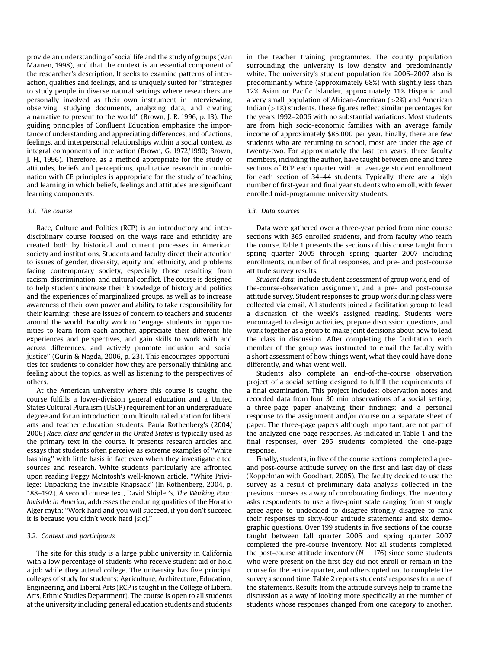provide an understanding of social life and the study of groups [\(Van](#page-9-0)  [Maanen, 1998\)](#page-9-0), and that the context is an essential component of the researcher's description. It seeks to examine patterns of interaction, qualities and feelings, and is uniquely suited for ''strategies to study people in diverse natural settings where researchers are personally involved as their own instrument in interviewing, observing, studying documents, analyzing data, and creating a narrative to present to the world'' [\(Brown, J. R. 1996,](#page-9-0) p. 13). The guiding principles of Confluent Education emphasize the importance of understanding and appreciating differences, and of actions, feelings, and interpersonal relationships within a social context as integral components of interaction [\(Brown, G. 1972/1990; Brown,](#page-9-0)  [J. H., 1996](#page-9-0)). Therefore, as a method appropriate for the study of attitudes, beliefs and perceptions, qualitative research in combination with CE principles is appropriate for the study of teaching and learning in which beliefs, feelings and attitudes are significant learning components.

#### 3.1. The course

Race, Culture and Politics (RCP) is an introductory and interdisciplinary course focused on the ways race and ethnicity are created both by historical and current processes in American society and institutions. Students and faculty direct their attention to issues of gender, diversity, equity and ethnicity, and problems facing contemporary society, especially those resulting from racism, discrimination, and cultural conflict. The course is designed to help students increase their knowledge of history and politics and the experiences of marginalized groups, as well as to increase awareness of their own power and ability to take responsibility for their learning; these are issues of concern to teachers and students around the world. Faculty work to ''engage students in opportunities to learn from each another, appreciate their different life experiences and perspectives, and gain skills to work with and across differences, and actively promote inclusion and social justice'' [\(Gurin & Nagda, 2006,](#page-9-0) p. 23). This encourages opportunities for students to consider how they are personally thinking and feeling about the topics, as well as listening to the perspectives of others.

At the American university where this course is taught, the course fulfills a lower-division general education and a United States Cultural Pluralism (USCP) requirement for an undergraduate degree and for an introduction to multicultural education for liberal arts and teacher education students. [Paula Rothenberg's \(2004/](#page-9-0)  [2006\)](#page-9-0) Race, class and gender in the United States is typically used as the primary text in the course. It presents research articles and essays that students often perceive as extreme examples of ''white bashing'' with little basis in fact even when they investigate cited sources and research. White students particularly are affronted upon reading Peggy McIntosh's well-known article, ''White Privilege: Unpacking the Invisible Knapsack'' (In [Rothenberg, 2004](#page-9-0), p. 188–192). A second course text, David Shipler's, The Working Poor: Invisible in America, addresses the enduring qualities of the Horatio Alger myth: ''Work hard and you will succeed, if you don't succeed it is because you didn't work hard [sic].''

#### 3.2. Context and participants

The site for this study is a large public university in California with a low percentage of students who receive student aid or hold a job while they attend college. The university has five principal colleges of study for students: Agriculture, Architecture, Education, Engineering, and Liberal Arts (RCP is taught in the College of Liberal Arts, Ethnic Studies Department). The course is open to all students at the university including general education students and students in the teacher training programmes. The county population surrounding the university is low density and predominantly white. The university's student population for 2006–2007 also is predominantly white (approximately 68%) with slightly less than 12% Asian or Pacific Islander, approximately 11% Hispanic, and a very small population of African-American  $(>2%)$  and American Indian  $(>1%)$  students. These figures reflect similar percentages for the years 1992–2006 with no substantial variations. Most students are from high socio-economic families with an average family income of approximately \$85,000 per year. Finally, there are few students who are returning to school, most are under the age of twenty-two. For approximately the last ten years, three faculty members, including the author, have taught between one and three sections of RCP each quarter with an average student enrollment for each section of 34–44 students. Typically, there are a high number of first-year and final year students who enroll, with fewer enrolled mid-programme university students.

#### 3.3. Data sources

Data were gathered over a three-year period from nine course sections with 365 enrolled students, and from faculty who teach the course. [Table 1](#page-4-0) presents the sections of this course taught from spring quarter 2005 through spring quarter 2007 including enrollments, number of final responses, and pre- and post-course attitude survey results.

Student data: include student assessment of group work, end-ofthe-course-observation assignment, and a pre- and post-course attitude survey. Student responses to group work during class were collected via email. All students joined a facilitation group to lead a discussion of the week's assigned reading. Students were encouraged to design activities, prepare discussion questions, and work together as a group to make joint decisions about how to lead the class in discussion. After completing the facilitation, each member of the group was instructed to email the faculty with a short assessment of how things went, what they could have done differently, and what went well.

Students also complete an end-of-the-course observation project of a social setting designed to fulfill the requirements of a final examination. This project includes: observation notes and recorded data from four 30 min observations of a social setting; a three-page paper analyzing their findings; and a personal response to the assignment and/or course on a separate sheet of paper. The three-page papers although important, are not part of the analyzed one-page responses. As indicated in [Table 1](#page-4-0) and the final responses, over 295 students completed the one-page response.

Finally, students, in five of the course sections, completed a preand post-course attitude survey on the first and last day of class ([Koppelman with Goodhart, 2005](#page-9-0)). The faculty decided to use the survey as a result of preliminary data analysis collected in the previous courses as a way of corroborating findings. The inventory asks respondents to use a five-point scale ranging from strongly agree-agree to undecided to disagree-strongly disagree to rank their responses to sixty-four attitude statements and six demographic questions. Over 199 students in five sections of the course taught between fall quarter 2006 and spring quarter 2007 completed the pre-course inventory. Not all students completed the post-course attitude inventory ( $N = 176$ ) since some students who were present on the first day did not enroll or remain in the course for the entire quarter, and others opted not to complete the survey a second time. [Table 2](#page-4-0) reports students' responses for nine of the statements. Results from the attitude surveys help to frame the discussion as a way of looking more specifically at the number of students whose responses changed from one category to another,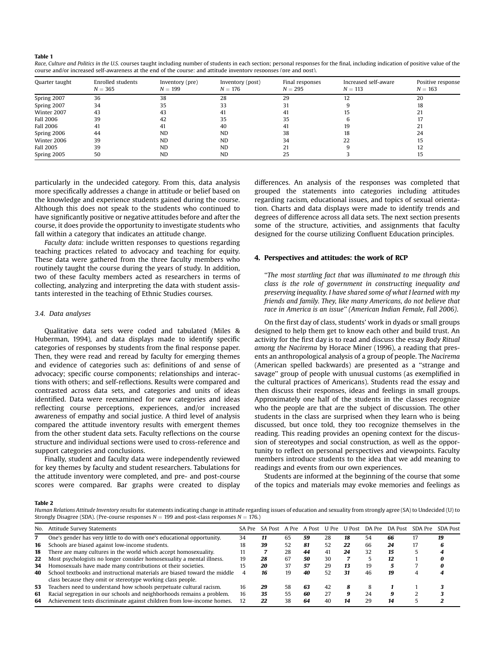<span id="page-4-0"></span>Table 1

| Race, Culture and Politics in the U.S. courses taught including number of students in each section; personal responses for the final, including indication of positive value of the |
|-------------------------------------------------------------------------------------------------------------------------------------------------------------------------------------|
| course and/or increased self-awareness at the end of the course: and attitude inventory responses (pre and post).                                                                   |

| Quarter taught   | Enrolled students<br>$N = 365$ | Inventory (pre)<br>$N = 199$ | Inventory (post)<br>$N = 176$ | Final responses<br>$N = 295$ | Increased self-aware<br>$N = 113$ | Positive response<br>$N = 163$ |  |
|------------------|--------------------------------|------------------------------|-------------------------------|------------------------------|-----------------------------------|--------------------------------|--|
| Spring 2007      | 36                             | 38                           | 28                            | 29                           |                                   | 20                             |  |
| Spring 2007      | 34                             | 35                           | 33                            | 31                           |                                   | 18                             |  |
| Winter 2007      | 43                             | 43                           | 41                            | 41                           |                                   |                                |  |
| <b>Fall 2006</b> | 39                             | 42                           | 35                            | 35                           |                                   |                                |  |
| <b>Fall 2006</b> | 41                             | 41                           | 40                            | 41                           | 19                                |                                |  |
| Spring 2006      | 44                             | <b>ND</b>                    | <b>ND</b>                     | 38                           | 18                                | 24                             |  |
| Winter 2006      | 39                             | <b>ND</b>                    | <b>ND</b>                     | 34                           | 22                                | 15                             |  |
| Fall 2005        | 39                             | <b>ND</b>                    | <b>ND</b>                     | 21                           |                                   | 12                             |  |
| Spring 2005      | 50                             | <b>ND</b>                    | <b>ND</b>                     | 25                           |                                   | 15                             |  |

particularly in the undecided category. From this, data analysis more specifically addresses a change in attitude or belief based on the knowledge and experience students gained during the course. Although this does not speak to the students who continued to have significantly positive or negative attitudes before and after the course, it does provide the opportunity to investigate students who fall within a category that indicates an attitude change.

Faculty data: include written responses to questions regarding teaching practices related to advocacy and teaching for equity. These data were gathered from the three faculty members who routinely taught the course during the years of study. In addition, two of these faculty members acted as researchers in terms of collecting, analyzing and interpreting the data with student assistants interested in the teaching of Ethnic Studies courses.

#### 3.4. Data analyses

Qualitative data sets were coded and tabulated ([Miles &](#page-9-0)  [Huberman, 1994](#page-9-0)), and data displays made to identify specific categories of responses by students from the final response paper. Then, they were read and reread by faculty for emerging themes and evidence of categories such as: definitions of and sense of advocacy; specific course components; relationships and interactions with others; and self-reflections. Results were compared and contrasted across data sets, and categories and units of ideas identified. Data were reexamined for new categories and ideas reflecting course perceptions, experiences, and/or increased awareness of empathy and social justice. A third level of analysis compared the attitude inventory results with emergent themes from the other student data sets. Faculty reflections on the course structure and individual sections were used to cross-reference and support categories and conclusions.

Finally, student and faculty data were independently reviewed for key themes by faculty and student researchers. Tabulations for the attitude inventory were completed, and pre- and post-course scores were compared. Bar graphs were created to display differences. An analysis of the responses was completed that grouped the statements into categories including attitudes regarding racism, educational issues, and topics of sexual orientation. Charts and data displays were made to identify trends and degrees of difference across all data sets. The next section presents some of the structure, activities, and assignments that faculty designed for the course utilizing Confluent Education principles.

### 4. Perspectives and attitudes: the work of RCP

''The most startling fact that was illuminated to me through this class is the role of government in constructing inequality and preserving inequality. I have shared some of what I learned with my friends and family. They, like many Americans, do not believe that race in America is an issue'' (American Indian Female, Fall 2006).

On the first day of class, students' work in dyads or small groups designed to help them get to know each other and build trust. An activity for the first day is to read and discuss the essay Body Ritual among the Nacirema by [Horace Miner \(1996\)](#page-9-0), a reading that presents an anthropological analysis of a group of people. The Nacirema (American spelled backwards) are presented as a ''strange and savage'' group of people with unusual customs (as exemplified in the cultural practices of Americans). Students read the essay and then discuss their responses, ideas and feelings in small groups. Approximately one half of the students in the classes recognize who the people are that are the subject of discussion. The other students in the class are surprised when they learn who is being discussed, but once told, they too recognize themselves in the reading. This reading provides an opening context for the discussion of stereotypes and social construction, as well as the opportunity to reflect on personal perspectives and viewpoints. Faculty members introduce students to the idea that we add meaning to readings and events from our own experiences.

Students are informed at the beginning of the course that some of the topics and materials may evoke memories and feelings as

Table 2

Human Relations Attitude Inventory results for statements indicating change in attitude regarding issues of education and sexuality from strongly agree (SA) to Undecided (U) to Strongly Disagree (SDA). (Pre-course responses  $N = 199$  and post-class responses  $N = 176$ .)

| No. | Attitude Survey Statements                                                                                                               | SA Pre | SA Post | A Pre |    |    |    |    |    | A Post U Pre U Post DA Pre DA Post SDA Pre | <b>SDA Post</b> |
|-----|------------------------------------------------------------------------------------------------------------------------------------------|--------|---------|-------|----|----|----|----|----|--------------------------------------------|-----------------|
|     | One's gender has very little to do with one's educational opportunity.                                                                   | 34     | 11      | 65    | 59 | 28 | 18 | 54 | 66 |                                            | 19              |
| 16  | Schools are biased against low-income students.                                                                                          | 18     | 39      | 52    | 81 | 52 | 22 | 66 | 24 |                                            |                 |
| 18  | There are many cultures in the world which accept homosexuality.                                                                         |        |         | 28    | 44 | 41 | 24 | 32 | 15 |                                            |                 |
| 22  | Most psychologists no longer consider homosexuality a mental illness.                                                                    | 19     | 28      | 67    | 50 | 30 |    |    | 12 |                                            |                 |
| 34  | Homosexuals have made many contributions ot their societies.                                                                             | 15     | 20      | 37    | 57 | 29 | 13 | 19 |    |                                            |                 |
| 40  | School textbooks and instructional materials are biased toward the middle<br>class because they omit or stereotype working class people. |        | 16      | 19    | 40 | 52 | 31 | 46 | 19 |                                            |                 |
| 53  | Teachers need to understand how schools perpetuate cultural racism.                                                                      | 16     | 29      | 58    | 63 | 42 | я  |    |    |                                            |                 |
| 61  | Racial segregation in our schools and neighborhoods remains a problem.                                                                   | 16     | 35      | 55    | 60 | 27 |    | 24 |    |                                            |                 |
| 64  | Achievement tests discriminate against children from low-income homes.                                                                   | 12     | 22      | 38    | 64 | 40 | 14 | 29 | 14 |                                            |                 |
|     |                                                                                                                                          |        |         |       |    |    |    |    |    |                                            |                 |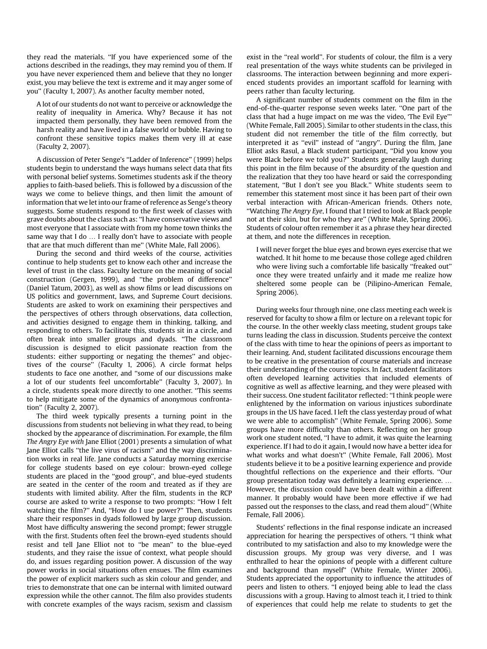they read the materials. ''If you have experienced some of the actions described in the readings, they may remind you of them. If you have never experienced them and believe that they no longer exist, you may believe the text is extreme and it may anger some of you'' (Faculty 1, 2007). As another faculty member noted,

A lot of our students do not want to perceive or acknowledge the reality of inequality in America. Why? Because it has not impacted them personally, they have been removed from the harsh reality and have lived in a false world or bubble. Having to confront these sensitive topics makes them very ill at ease (Faculty 2, 2007).

A discussion of [Peter Senge's ''Ladder of Inference'' \(1999\)](#page-9-0) helps students begin to understand the ways humans select data that fits with personal belief systems. Sometimes students ask if the theory applies to faith-based beliefs. This is followed by a discussion of the ways we come to believe things, and then limit the amount of information that we let into our frame of reference as Senge's theory suggests. Some students respond to the first week of classes with grave doubts about the class such as: ''I have conservative views and most everyone that I associate with from my home town thinks the same way that I do ... I really don't have to associate with people that are that much different than me'' (White Male, Fall 2006).

During the second and third weeks of the course, activities continue to help students get to know each other and increase the level of trust in the class. Faculty lecture on the meaning of social construction ([Gergen, 1999\)](#page-9-0), and ''the problem of difference'' ([Daniel Tatum, 2003\)](#page-9-0), as well as show films or lead discussions on US politics and government, laws, and Supreme Court decisions. Students are asked to work on examining their perspectives and the perspectives of others through observations, data collection, and activities designed to engage them in thinking, talking, and responding to others. To facilitate this, students sit in a circle, and often break into smaller groups and dyads. ''The classroom discussion is designed to elicit passionate reaction from the students: either supporting or negating the themes'' and objectives of the course'' (Faculty 1, 2006). A circle format helps students to face one another, and ''some of our discussions make a lot of our students feel uncomfortable'' (Faculty 3, 2007). In a circle, students speak more directly to one another. ''This seems to help mitigate some of the dynamics of anonymous confrontation'' (Faculty 2, 2007).

The third week typically presents a turning point in the discussions from students not believing in what they read, to being shocked by the appearance of discrimination. For example, the film The Angry Eye with [Jane Elliot \(2001\)](#page-9-0) presents a simulation of what Jane Elliot calls ''the live virus of racism'' and the way discrimination works in real life. Jane conducts a Saturday morning exercise for college students based on eye colour: brown-eyed college students are placed in the ''good group'', and blue-eyed students are seated in the center of the room and treated as if they are students with limited ability. After the film, students in the RCP course are asked to write a response to two prompts: ''How I felt watching the film?'' And, ''How do I use power?'' Then, students share their responses in dyads followed by large group discussion. Most have difficulty answering the second prompt; fewer struggle with the first. Students often feel the brown-eyed students should resist and tell Jane Elliot not to ''be mean'' to the blue-eyed students, and they raise the issue of context, what people should do, and issues regarding position power. A discussion of the way power works in social situations often ensues. The film examines the power of explicit markers such as skin colour and gender, and tries to demonstrate that one can be internal with limited outward expression while the other cannot. The film also provides students with concrete examples of the ways racism, sexism and classism exist in the "real world". For students of colour, the film is a very real presentation of the ways white students can be privileged in classrooms. The interaction between beginning and more experienced students provides an important scaffold for learning with peers rather than faculty lecturing.

A significant number of students comment on the film in the end-of-the-quarter response seven weeks later. ''One part of the class that had a huge impact on me was the video, 'The Evil Eye''' (White Female, Fall 2005). Similar to other students in the class, this student did not remember the title of the film correctly, but interpreted it as ''evil'' instead of ''angry''. During the film, Jane Elliot asks Rasul, a Black student participant, ''Did you know you were Black before we told you?'' Students generally laugh during this point in the film because of the absurdity of the question and the realization that they too have heard or said the corresponding statement, ''But I don't see you Black.'' White students seem to remember this statement most since it has been part of their own verbal interaction with African-American friends. Others note, ''Watching The Angry Eye, I found that I tried to look at Black people not at their skin, but for who they are'' (White Male, Spring 2006). Students of colour often remember it as a phrase they hear directed at them, and note the differences in reception.

I will never forget the blue eyes and brown eyes exercise that we watched. It hit home to me because those college aged children who were living such a comfortable life basically "freaked out" once they were treated unfairly and it made me realize how sheltered some people can be (Pilipino-American Female, Spring 2006).

During weeks four through nine, one class meeting each week is reserved for faculty to show a film or lecture on a relevant topic for the course. In the other weekly class meeting, student groups take turns leading the class in discussion. Students perceive the context of the class with time to hear the opinions of peers as important to their learning. And, student facilitated discussions encourage them to be creative in the presentation of course materials and increase their understanding of the course topics. In fact, student facilitators often developed learning activities that included elements of cognitive as well as affective learning, and they were pleased with their success. One student facilitator reflected: ''I think people were enlightened by the information on various injustices subordinate groups in the US have faced. I left the class yesterday proud of what we were able to accomplish'' (White Female, Spring 2006). Some groups have more difficulty than others. Reflecting on her group work one student noted, ''I have to admit, it was quite the learning experience. If I had to do it again, I would now have a better idea for what works and what doesn't'' (White Female, Fall 2006). Most students believe it to be a positive learning experience and provide thoughtful reflections on the experience and their efforts. ''Our group presentation today was definitely a learning experience. . However, the discussion could have been dealt within a different manner. It probably would have been more effective if we had passed out the responses to the class, and read them aloud'' (White Female, Fall 2006).

Students' reflections in the final response indicate an increased appreciation for hearing the perspectives of others. ''I think what contributed to my satisfaction and also to my knowledge were the discussion groups. My group was very diverse, and I was enthralled to hear the opinions of people with a different culture and background than myself'' (White Female, Winter 2006). Students appreciated the opportunity to influence the attitudes of peers and listen to others. ''I enjoyed being able to lead the class discussions with a group. Having to almost teach it, I tried to think of experiences that could help me relate to students to get the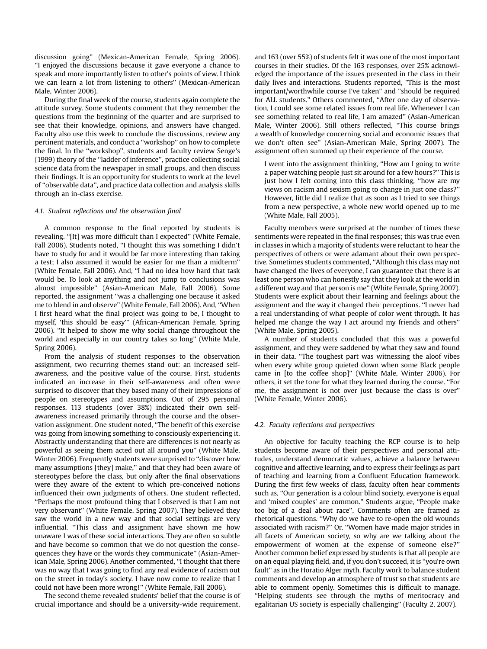discussion going'' (Mexican-American Female, Spring 2006). ''I enjoyed the discussions because it gave everyone a chance to speak and more importantly listen to other's points of view. I think we can learn a lot from listening to others'' (Mexican-American Male, Winter 2006).

During the final week of the course, students again complete the attitude survey. Some students comment that they remember the questions from the beginning of the quarter and are surprised to see that their knowledge, opinions, and answers have changed. Faculty also use this week to conclude the discussions, review any pertinent materials, and conduct a ''workshop'' on how to complete the final. In the ''workshop'', students and faculty review [Senge's](#page-9-0)  [\(1999\)](#page-9-0) theory of the ''ladder of inference'', practice collecting social science data from the newspaper in small groups, and then discuss their findings. It is an opportunity for students to work at the level of ''observable data'', and practice data collection and analysis skills through an in-class exercise.

#### 4.1. Student reflections and the observation final

A common response to the final reported by students is revealing. ''[It] was more difficult than I expected'' (White Female, Fall 2006). Students noted, ''I thought this was something I didn't have to study for and it would be far more interesting than taking a test; I also assumed it would be easier for me than a midterm'' (White Female, Fall 2006). And, ''I had no idea how hard that task would be. To look at anything and not jump to conclusions was almost impossible'' (Asian-American Male, Fall 2006). Some reported, the assignment ''was a challenging one because it asked me to blend in and observe'' (White Female, Fall 2006). And, ''When I first heard what the final project was going to be, I thought to myself, 'this should be easy''' (African-American Female, Spring 2006). ''It helped to show me why social change throughout the world and especially in our country takes so long'' (White Male, Spring 2006).

From the analysis of student responses to the observation assignment, two recurring themes stand out: an increased selfawareness, and the positive value of the course. First, students indicated an increase in their self-awareness and often were surprised to discover that they based many of their impressions of people on stereotypes and assumptions. Out of 295 personal responses, 113 students (over 38%) indicated their own selfawareness increased primarily through the course and the observation assignment. One student noted, ''The benefit of this exercise was going from knowing something to consciously experiencing it. Abstractly understanding that there are differences is not nearly as powerful as seeing them acted out all around you'' (White Male, Winter 2006). Frequently students were surprised to ''discover how many assumptions [they] make," and that they had been aware of stereotypes before the class, but only after the final observations were they aware of the extent to which pre-conceived notions influenced their own judgments of others. One student reflected, ''Perhaps the most profound thing that I observed is that I am not very observant'' (White Female, Spring 2007). They believed they saw the world in a new way and that social settings are very influential. ''This class and assignment have shown me how unaware I was of these social interactions. They are often so subtle and have become so common that we do not question the consequences they have or the words they communicate'' (Asian-American Male, Spring 2006). Another commented, ''I thought that there was no way that I was going to find any real evidence of racism out on the street in today's society. I have now come to realize that I could not have been more wrong!'' (White Female, Fall 2006).

The second theme revealed students' belief that the course is of crucial importance and should be a university-wide requirement,

and 163 (over 55%) of students felt it was one of the most important courses in their studies. Of the 163 responses, over 25% acknowledged the importance of the issues presented in the class in their daily lives and interactions. Students reported, "This is the most important/worthwhile course I've taken" and "should be required for ALL students." Others commented, ''After one day of observation, I could see some related issues from real life. Whenever I can see something related to real life, I am amazed'' (Asian-American Male, Winter 2006). Still others reflected, ''This course brings a wealth of knowledge concerning social and economic issues that we don't often see'' (Asian-American Male, Spring 2007). The assignment often summed up their experience of the course.

I went into the assignment thinking, ''How am I going to write a paper watching people just sit around for a few hours?'' This is just how I felt coming into this class thinking, ''how are my views on racism and sexism going to change in just one class?'' However, little did I realize that as soon as I tried to see things from a new perspective, a whole new world opened up to me (White Male, Fall 2005).

Faculty members were surprised at the number of times these sentiments were repeated in the final responses; this was true even in classes in which a majority of students were reluctant to hear the perspectives of others or were adamant about their own perspective. Sometimes students commented, ''Although this class may not have changed the lives of everyone, I can guarantee that there is at least one person who can honestly say that they look at the world in a different way and that person is me'' (White Female, Spring 2007). Students were explicit about their learning and feelings about the assignment and the way it changed their perceptions. ''I never had a real understanding of what people of color went through. It has helped me change the way I act around my friends and others'' (White Male, Spring 2005).

A number of students concluded that this was a powerful assignment, and they were saddened by what they saw and found in their data. ''The toughest part was witnessing the aloof vibes when every white group quieted down when some Black people came in [to the coffee shop]'' (White Male, Winter 2006). For others, it set the tone for what they learned during the course. ''For me, the assignment is not over just because the class is over'' (White Female, Winter 2006).

#### 4.2. Faculty reflections and perspectives

An objective for faculty teaching the RCP course is to help students become aware of their perspectives and personal attitudes, understand democratic values, achieve a balance between cognitive and affective learning, and to express their feelings as part of teaching and learning from a Confluent Education framework. During the first few weeks of class, faculty often hear comments such as, ''Our generation is a colour blind society, everyone is equal and 'mixed couples' are common.'' Students argue, ''People make too big of a deal about race''. Comments often are framed as rhetorical questions. ''Why do we have to re-open the old wounds associated with racism?'' Or, ''Women have made major strides in all facets of American society, so why are we talking about the empowerment of women at the expense of someone else?'' Another common belief expressed by students is that all people are on an equal playing field, and, if you don't succeed, it is ''you're own fault'' as in the Horatio Alger myth. Faculty work to balance student comments and develop an atmosphere of trust so that students are able to comment openly. Sometimes this is difficult to manage. ''Helping students see through the myths of meritocracy and egalitarian US society is especially challenging'' (Faculty 2, 2007).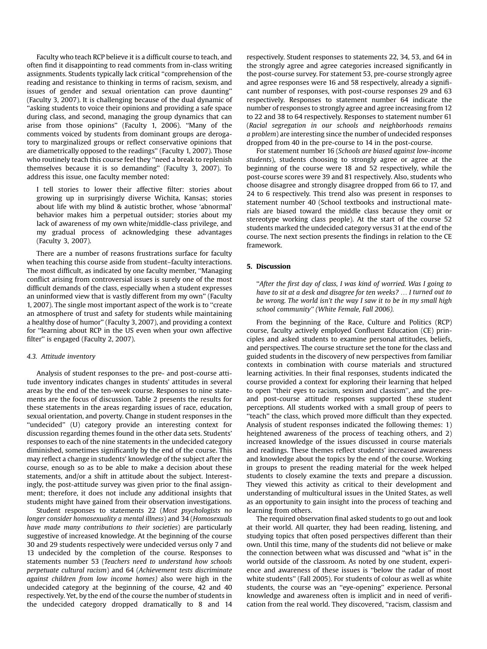Faculty who teach RCP believe it is a difficult course to teach, and often find it disappointing to read comments from in-class writing assignments. Students typically lack critical ''comprehension of the reading and resistance to thinking in terms of racism, sexism, and issues of gender and sexual orientation can prove daunting'' (Faculty 3, 2007). It is challenging because of the dual dynamic of ''asking students to voice their opinions and providing a safe space during class, and second, managing the group dynamics that can arise from those opinions'' (Faculty 1, 2006). ''Many of the comments voiced by students from dominant groups are derogatory to marginalized groups or reflect conservative opinions that are diametrically opposed to the readings'' (Faculty 1, 2007). Those who routinely teach this course feel they ''need a break to replenish themselves because it is so demanding'' (Faculty 3, 2007). To address this issue, one faculty member noted:

I tell stories to lower their affective filter: stories about growing up in surprisingly diverse Wichita, Kansas; stories about life with my blind & autistic brother, whose 'abnormal' behavior makes him a perpetual outsider; stories about my lack of awareness of my own white/middle-class privilege, and my gradual process of acknowledging these advantages (Faculty 3, 2007).

There are a number of reasons frustrations surface for faculty when teaching this course aside from student–faculty interactions. The most difficult, as indicated by one faculty member, ''Managing conflict arising from controversial issues is surely one of the most difficult demands of the class, especially when a student expresses an uninformed view that is vastly different from my own'' (Faculty 1, 2007). The single most important aspect of the work is to ''create an atmosphere of trust and safety for students while maintaining a healthy dose of humor'' (Faculty 3, 2007), and providing a context for ''learning about RCP in the US even when your own affective filter'' is engaged (Faculty 2, 2007).

#### 4.3. Attitude inventory

Analysis of student responses to the pre- and post-course attitude inventory indicates changes in students' attitudes in several areas by the end of the ten-week course. Responses to nine statements are the focus of discussion. [Table 2](#page-4-0) presents the results for these statements in the areas regarding issues of race, education, sexual orientation, and poverty. Change in student responses in the ''undecided'' (U) category provide an interesting context for discussion regarding themes found in the other data sets. Students' responses to each of the nine statements in the undecided category diminished, sometimes significantly by the end of the course. This may reflect a change in students' knowledge of the subject after the course, enough so as to be able to make a decision about these statements, and/or a shift in attitude about the subject. Interestingly, the post-attitude survey was given prior to the final assignment; therefore, it does not include any additional insights that students might have gained from their observation investigations.

Student responses to statements 22 (Most psychologists no longer consider homosexuality a mental illness) and 34 (Homosexuals have made many contributions to their societies) are particularly suggestive of increased knowledge. At the beginning of the course 30 and 29 students respectively were undecided versus only 7 and 13 undecided by the completion of the course. Responses to statements number 53 (Teachers need to understand how schools perpetuate cultural racism) and 64 (Achievement tests discriminate against children from low income homes) also were high in the undecided category at the beginning of the course, 42 and 40 respectively. Yet, by the end of the course the number of students in the undecided category dropped dramatically to 8 and 14 respectively. Student responses to statements 22, 34, 53, and 64 in the strongly agree and agree categories increased significantly in the post-course survey. For statement 53, pre-course strongly agree and agree responses were 16 and 58 respectively, already a significant number of responses, with post-course responses 29 and 63 respectively. Responses to statement number 64 indicate the number of responses to strongly agree and agree increasing from 12 to 22 and 38 to 64 respectively. Responses to statement number 61 (Racial segregation in our schools and neighborhoods remains a problem) are interesting since the number of undecided responses dropped from 40 in the pre-course to 14 in the post-course.

For statement number 16 (Schools are biased against low-income students), students choosing to strongly agree or agree at the beginning of the course were 18 and 52 respectively, while the post-course scores were 39 and 81 respectively. Also, students who choose disagree and strongly disagree dropped from 66 to 17, and 24 to 6 respectively. This trend also was present in responses to statement number 40 (School textbooks and instructional materials are biased toward the middle class because they omit or stereotype working class people). At the start of the course 52 students marked the undecided category versus 31 at the end of the course. The next section presents the findings in relation to the CE framework.

## 5. Discussion

''After the first day of class, I was kind of worried. Was I going to have to sit at a desk and disagree for ten weeks? ... I turned out to be wrong. The world isn't the way I saw it to be in my small high school community'' (White Female, Fall 2006).

From the beginning of the Race, Culture and Politics (RCP) course, faculty actively employed Confluent Education (CE) principles and asked students to examine personal attitudes, beliefs, and perspectives. The course structure set the tone for the class and guided students in the discovery of new perspectives from familiar contexts in combination with course materials and structured learning activities. In their final responses, students indicated the course provided a context for exploring their learning that helped to open ''their eyes to racism, sexism and classism'', and the preand post-course attitude responses supported these student perceptions. All students worked with a small group of peers to "teach" the class, which proved more difficult than they expected. Analysis of student responses indicated the following themes: 1) heightened awareness of the process of teaching others, and 2) increased knowledge of the issues discussed in course materials and readings. These themes reflect students' increased awareness and knowledge about the topics by the end of the course. Working in groups to present the reading material for the week helped students to closely examine the texts and prepare a discussion. They viewed this activity as critical to their development and understanding of multicultural issues in the United States, as well as an opportunity to gain insight into the process of teaching and learning from others.

The required observation final asked students to go out and look at their world. All quarter, they had been reading, listening, and studying topics that often posed perspectives different than their own. Until this time, many of the students did not believe or make the connection between what was discussed and ''what is'' in the world outside of the classroom. As noted by one student, experience and awareness of these issues is ''below the radar of most white students'' (Fall 2005). For students of colour as well as white students, the course was an ''eye-opening'' experience. Personal knowledge and awareness often is implicit and in need of verification from the real world. They discovered, ''racism, classism and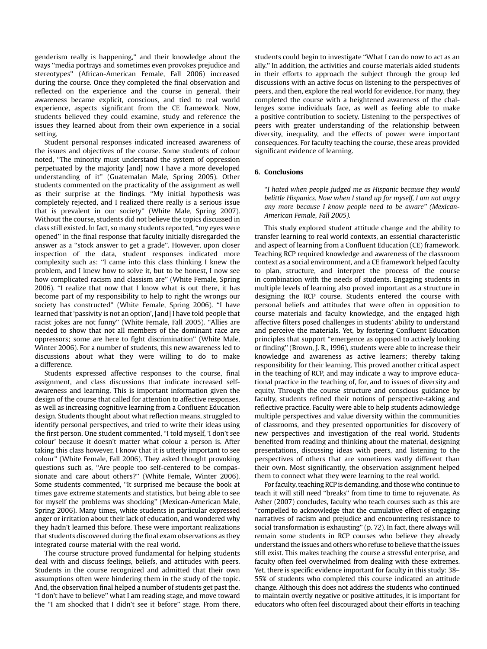genderism really is happening,'' and their knowledge about the ways ''media portrays and sometimes even provokes prejudice and stereotypes'' (African-American Female, Fall 2006) increased during the course. Once they completed the final observation and reflected on the experience and the course in general, their awareness became explicit, conscious, and tied to real world experience, aspects significant from the CE framework. Now, students believed they could examine, study and reference the issues they learned about from their own experience in a social setting.

Student personal responses indicated increased awareness of the issues and objectives of the course. Some students of colour noted, ''The minority must understand the system of oppression perpetuated by the majority [and] now I have a more developed understanding of it'' (Guatemalan Male, Spring 2005). Other students commented on the practicality of the assignment as well as their surprise at the findings. ''My initial hypothesis was completely rejected, and I realized there really is a serious issue that is prevalent in our society'' (White Male, Spring 2007). Without the course, students did not believe the topics discussed in class still existed. In fact, so many students reported, ''my eyes were opened'' in the final response that faculty initially disregarded the answer as a ''stock answer to get a grade''. However, upon closer inspection of the data, student responses indicated more complexity such as: ''I came into this class thinking I knew the problem, and I knew how to solve it, but to be honest, I now see how complicated racism and classism are'' (White Female, Spring 2006). ''I realize that now that I know what is out there, it has become part of my responsibility to help to right the wrongs our society has constructed'' (White Female, Spring 2006). ''I have learned that 'passivity is not an option', [and] I have told people that racist jokes are not funny'' (White Female, Fall 2005). ''Allies are needed to show that not all members of the dominant race are oppressors; some are here to fight discrimination'' (White Male, Winter 2006). For a number of students, this new awareness led to discussions about what they were willing to do to make a difference.

Students expressed affective responses to the course, final assignment, and class discussions that indicate increased selfawareness and learning. This is important information given the design of the course that called for attention to affective responses, as well as increasing cognitive learning from a Confluent Education design. Students thought about what reflection means, struggled to identify personal perspectives, and tried to write their ideas using the first person. One student commented, ''I told myself, 'I don't see colour' because it doesn't matter what colour a person is. After taking this class however, I know that it is utterly important to see colour'' (White Female, Fall 2006). They asked thought provoking questions such as, ''Are people too self-centered to be compassionate and care about others?'' (White Female, Winter 2006). Some students commented, ''It surprised me because the book at times gave extreme statements and statistics, but being able to see for myself the problems was shocking'' (Mexican-American Male, Spring 2006). Many times, white students in particular expressed anger or irritation about their lack of education, and wondered why they hadn't learned this before. These were important realizations that students discovered during the final exam observations as they integrated course material with the real world.

The course structure proved fundamental for helping students deal with and discuss feelings, beliefs, and attitudes with peers. Students in the course recognized and admitted that their own assumptions often were hindering them in the study of the topic. And, the observation final helped a number of students get past the, ''I don't have to believe'' what I am reading stage, and move toward the ''I am shocked that I didn't see it before'' stage. From there, students could begin to investigate ''What I can do now to act as an ally.'' In addition, the activities and course materials aided students in their efforts to approach the subject through the group led discussions with an active focus on listening to the perspectives of peers, and then, explore the real world for evidence. For many, they completed the course with a heightened awareness of the challenges some individuals face, as well as feeling able to make a positive contribution to society. Listening to the perspectives of peers with greater understanding of the relationship between diversity, inequality, and the effects of power were important consequences. For faculty teaching the course, these areas provided significant evidence of learning.

# 6. Conclusions

''I hated when people judged me as Hispanic because they would belittle Hispanics. Now when I stand up for myself, I am not angry any more because I know people need to be aware'' (Mexican-American Female, Fall 2005).

This study explored student attitude change and the ability to transfer learning to real world contexts, an essential characteristic and aspect of learning from a Confluent Education (CE) framework. Teaching RCP required knowledge and awareness of the classroom context as a social environment, and a CE framework helped faculty to plan, structure, and interpret the process of the course in combination with the needs of students. Engaging students in multiple levels of learning also proved important as a structure in designing the RCP course. Students entered the course with personal beliefs and attitudes that were often in opposition to course materials and faculty knowledge, and the engaged high affective filters posed challenges in students' ability to understand and perceive the materials. Yet, by fostering Confluent Education principles that support ''emergence as opposed to actively looking or finding'' [\(Brown, J. R., 1996](#page-9-0)), students were able to increase their knowledge and awareness as active learners; thereby taking responsibility for their learning. This proved another critical aspect in the teaching of RCP, and may indicate a way to improve educational practice in the teaching of, for, and to issues of diversity and equity. Through the course structure and conscious guidance by faculty, students refined their notions of perspective-taking and reflective practice. Faculty were able to help students acknowledge multiple perspectives and value diversity within the communities of classrooms, and they presented opportunities for discovery of new perspectives and investigation of the real world. Students benefited from reading and thinking about the material, designing presentations, discussing ideas with peers, and listening to the perspectives of others that are sometimes vastly different than their own. Most significantly, the observation assignment helped them to connect what they were learning to the real world.

For faculty, teaching RCP is demanding, and those who continue to teach it will still need ''breaks'' from time to time to rejuvenate. As [Asher \(2007\)](#page-9-0) concludes, faculty who teach courses such as this are ''compelled to acknowledge that the cumulative effect of engaging narratives of racism and prejudice and encountering resistance to social transformation is exhausting'' (p. 72). In fact, there always will remain some students in RCP courses who believe they already understand the issues and others who refuse to believe that the issues still exist. This makes teaching the course a stressful enterprise, and faculty often feel overwhelmed from dealing with these extremes. Yet, there is specific evidence important for faculty in this study: 38– 55% of students who completed this course indicated an attitude change. Although this does not address the students who continued to maintain overtly negative or positive attitudes, it is important for educators who often feel discouraged about their efforts in teaching